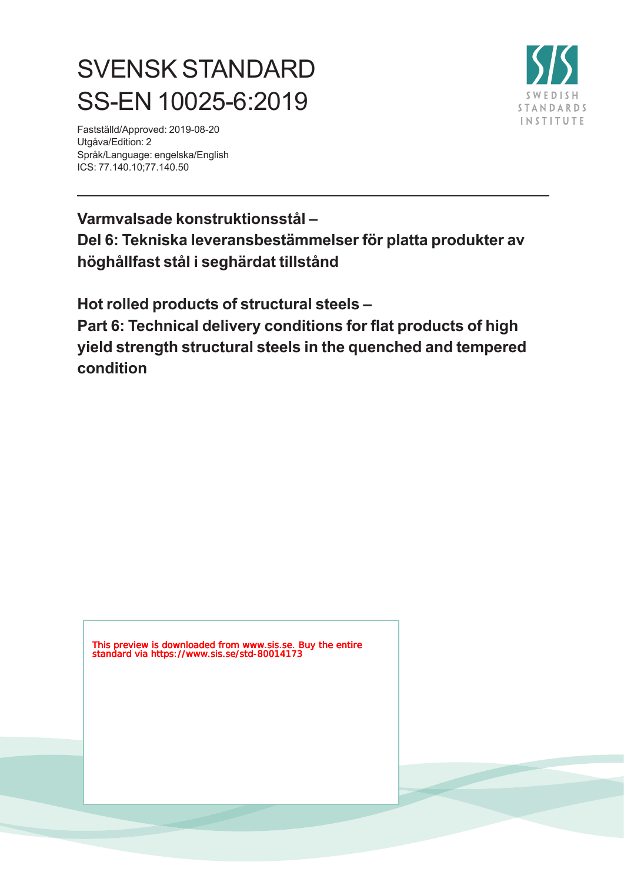# SVENSK STANDARD SS-EN 10025-6:2019

**STANDARDS INSTITUTE** 

Fastställd/Approved: 2019-08-20 Utgåva/Edition: 2 Språk/Language: engelska/English ICS: 77.140.10;77.140.50

**Varmvalsade konstruktionsstål –**

**Del 6: Tekniska leveransbestämmelser för platta produkter av höghållfast stål i seghärdat tillstånd**

**Hot rolled products of structural steels –**

**Part 6: Technical delivery conditions for flat products of high yield strength structural steels in the quenched and tempered condition**

This preview is downloaded from www.sis.se. Buy the entire standard via https://www.sis.se/std-80014173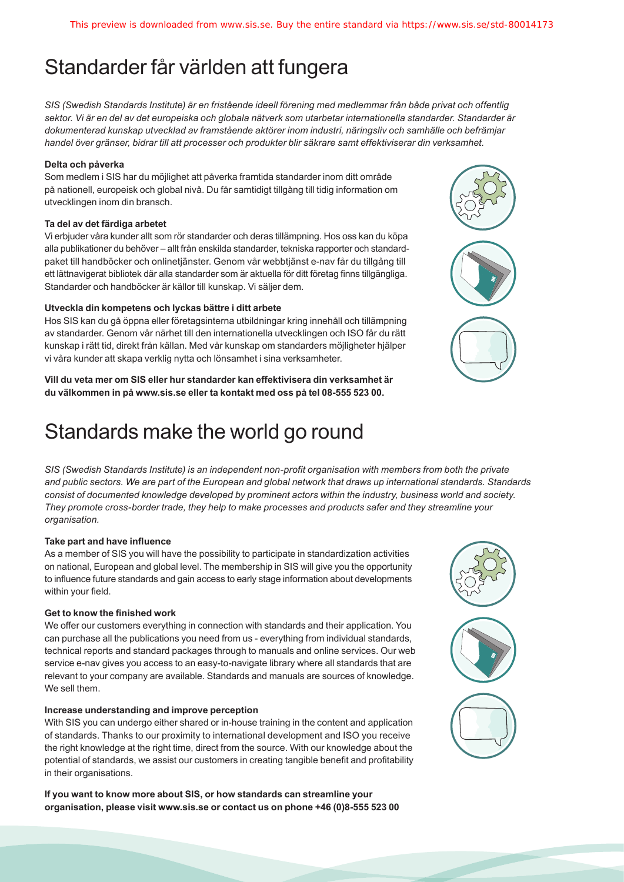# Standarder får världen att fungera

*SIS (Swedish Standards Institute) är en fristående ideell förening med medlemmar från både privat och offentlig sektor. Vi är en del av det europeiska och globala nätverk som utarbetar internationella standarder. Standarder är dokumenterad kunskap utvecklad av framstående aktörer inom industri, näringsliv och samhälle och befrämjar handel över gränser, bidrar till att processer och produkter blir säkrare samt effektiviserar din verksamhet.* 

#### **Delta och påverka**

Som medlem i SIS har du möjlighet att påverka framtida standarder inom ditt område på nationell, europeisk och global nivå. Du får samtidigt tillgång till tidig information om utvecklingen inom din bransch.

#### **Ta del av det färdiga arbetet**

Vi erbjuder våra kunder allt som rör standarder och deras tillämpning. Hos oss kan du köpa alla publikationer du behöver – allt från enskilda standarder, tekniska rapporter och standardpaket till handböcker och onlinetjänster. Genom vår webbtjänst e-nav får du tillgång till ett lättnavigerat bibliotek där alla standarder som är aktuella för ditt företag finns tillgängliga. Standarder och handböcker är källor till kunskap. Vi säljer dem.

#### **Utveckla din kompetens och lyckas bättre i ditt arbete**

Hos SIS kan du gå öppna eller företagsinterna utbildningar kring innehåll och tillämpning av standarder. Genom vår närhet till den internationella utvecklingen och ISO får du rätt kunskap i rätt tid, direkt från källan. Med vår kunskap om standarders möjligheter hjälper vi våra kunder att skapa verklig nytta och lönsamhet i sina verksamheter.

**Vill du veta mer om SIS eller hur standarder kan effektivisera din verksamhet är du välkommen in på www.sis.se eller ta kontakt med oss på tel 08-555 523 00.**

# Standards make the world go round

*SIS (Swedish Standards Institute) is an independent non-profit organisation with members from both the private and public sectors. We are part of the European and global network that draws up international standards. Standards consist of documented knowledge developed by prominent actors within the industry, business world and society. They promote cross-border trade, they help to make processes and products safer and they streamline your organisation.*

#### **Take part and have influence**

As a member of SIS you will have the possibility to participate in standardization activities on national, European and global level. The membership in SIS will give you the opportunity to influence future standards and gain access to early stage information about developments within your field.

#### **Get to know the finished work**

We offer our customers everything in connection with standards and their application. You can purchase all the publications you need from us - everything from individual standards, technical reports and standard packages through to manuals and online services. Our web service e-nav gives you access to an easy-to-navigate library where all standards that are relevant to your company are available. Standards and manuals are sources of knowledge. We sell them.

#### **Increase understanding and improve perception**

With SIS you can undergo either shared or in-house training in the content and application of standards. Thanks to our proximity to international development and ISO you receive the right knowledge at the right time, direct from the source. With our knowledge about the potential of standards, we assist our customers in creating tangible benefit and profitability in their organisations.

**If you want to know more about SIS, or how standards can streamline your organisation, please visit www.sis.se or contact us on phone +46 (0)8-555 523 00**



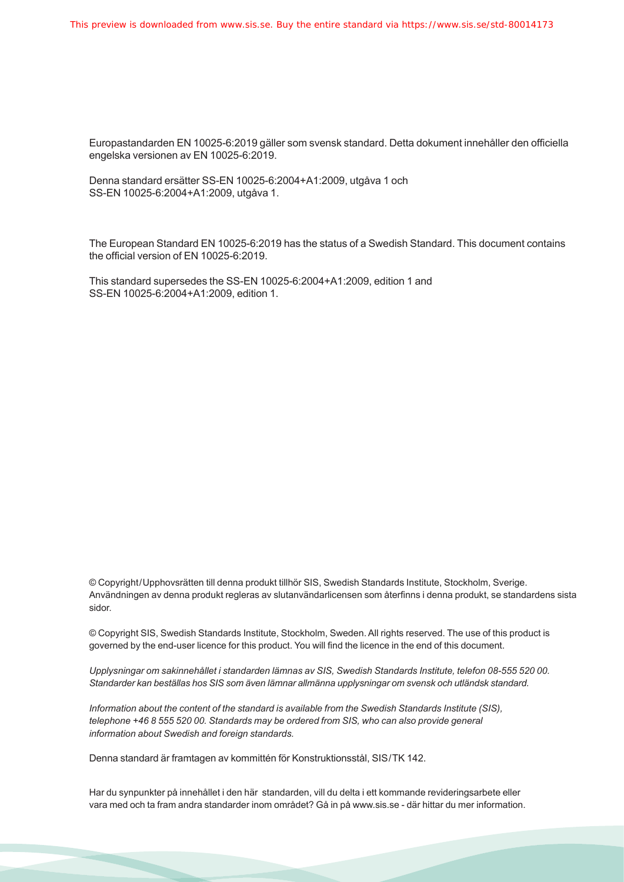Europastandarden EN 10025-6:2019 gäller som svensk standard. Detta dokument innehåller den officiella engelska versionen av EN 10025-6:2019.

Denna standard ersätter SS-EN 10025-6:2004+A1:2009, utgåva 1 och SS-EN 10025-6:2004+A1:2009, utgåva 1.

The European Standard EN 10025-6:2019 has the status of a Swedish Standard. This document contains the official version of EN 10025-6:2019.

This standard supersedes the SS-EN 10025-6:2004+A1:2009, edition 1 and SS-EN 10025-6:2004+A1:2009, edition 1.

© Copyright / Upphovsrätten till denna produkt tillhör SIS, Swedish Standards Institute, Stockholm, Sverige. Användningen av denna produkt regleras av slutanvändarlicensen som återfinns i denna produkt, se standardens sista sidor.

© Copyright SIS, Swedish Standards Institute, Stockholm, Sweden. All rights reserved. The use of this product is governed by the end-user licence for this product. You will find the licence in the end of this document.

*Upplysningar om sakinnehållet i standarden lämnas av SIS, Swedish Standards Institute, telefon 08-555 520 00. Standarder kan beställas hos SIS som även lämnar allmänna upplysningar om svensk och utländsk standard.*

*Information about the content of the standard is available from the Swedish Standards Institute (SIS), telephone +46 8 555 520 00. Standards may be ordered from SIS, who can also provide general information about Swedish and foreign standards.*

Denna standard är framtagen av kommittén för Konstruktionsstål, SIS / TK 142.

Har du synpunkter på innehållet i den här standarden, vill du delta i ett kommande revideringsarbete eller vara med och ta fram andra standarder inom området? Gå in på www.sis.se - där hittar du mer information.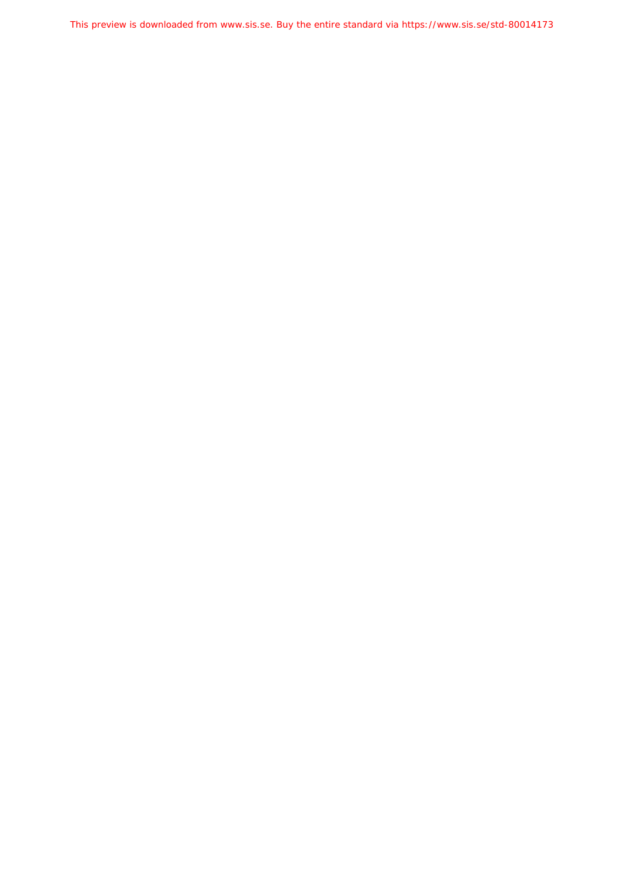This preview is downloaded from www.sis.se. Buy the entire standard via https://www.sis.se/std-80014173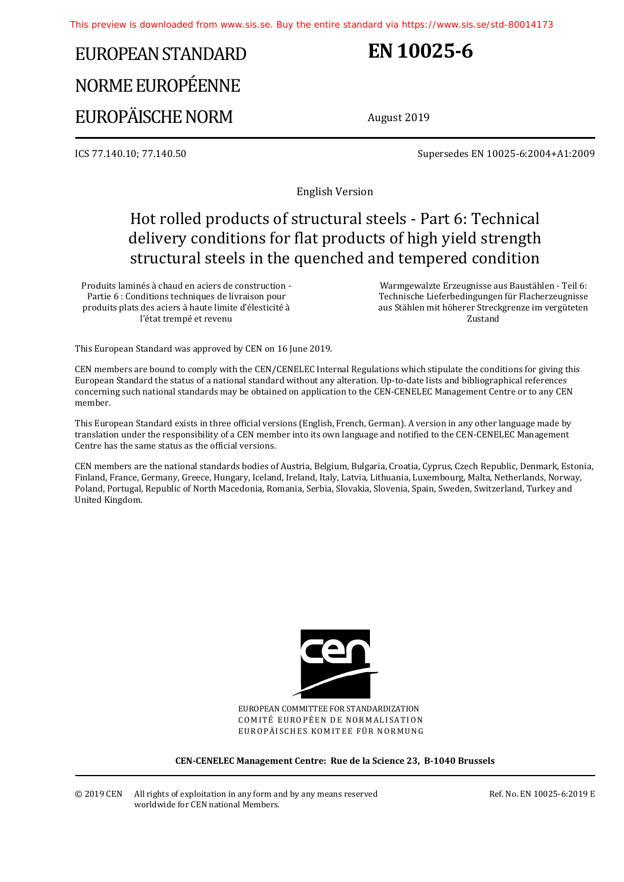# EUROPEAN STANDARD NORME EUROPÉENNE EUROPÄISCHE NORM

# **EN 10025-6**

August 2019

ICS 77.140.10; 77.140.50 Supersedes EN 10025-6:2004+A1:2009

English Version

# Hot rolled products of structural steels - Part 6: Technical delivery conditions for flat products of high yield strength structural steels in the quenched and tempered condition

Produits laminés à chaud en aciers de construction - Partie 6 : Conditions techniques de livraison pour produits plats des aciers à haute limite d'élesticité à l'état trempé et revenu

 Warmgewalzte Erzeugnisse aus Baustählen - Teil 6: Technische Lieferbedingungen für Flacherzeugnisse aus Stählen mit höherer Streckgrenze im vergüteten Zustand

This European Standard was approved by CEN on 16 June 2019.

CEN members are bound to comply with the CEN/CENELEC Internal Regulations which stipulate the conditions for giving this European Standard the status of a national standard without any alteration. Up-to-date lists and bibliographical references concerning such national standards may be obtained on application to the CEN-CENELEC Management Centre or to any CEN member.

This European Standard exists in three official versions (English, French, German). A version in any other language made by translation under the responsibility of a CEN member into its own language and notified to the CEN-CENELEC Management Centre has the same status as the official versions.

CEN members are the national standards bodies of Austria, Belgium, Bulgaria, Croatia, Cyprus, Czech Republic, Denmark, Estonia, Finland, France, Germany, Greece, Hungary, Iceland, Ireland, Italy, Latvia, Lithuania, Luxembourg, Malta, Netherlands, Norway, Poland, Portugal, Republic of North Macedonia, Romania, Serbia, Slovakia, Slovenia, Spain, Sweden, Switzerland, Turkey and United Kingdom.



EUROPEAN COMMITTEE FOR STANDARDIZATION COMITÉ EUROPÉEN DE NORMALISATION EUROPÄISCHES KOMITEE FÜR NORMUNG

**CEN-CENELEC Management Centre: Rue de la Science 23, B-1040 Brussels** 

Ref. No. EN 10025-6:2019 E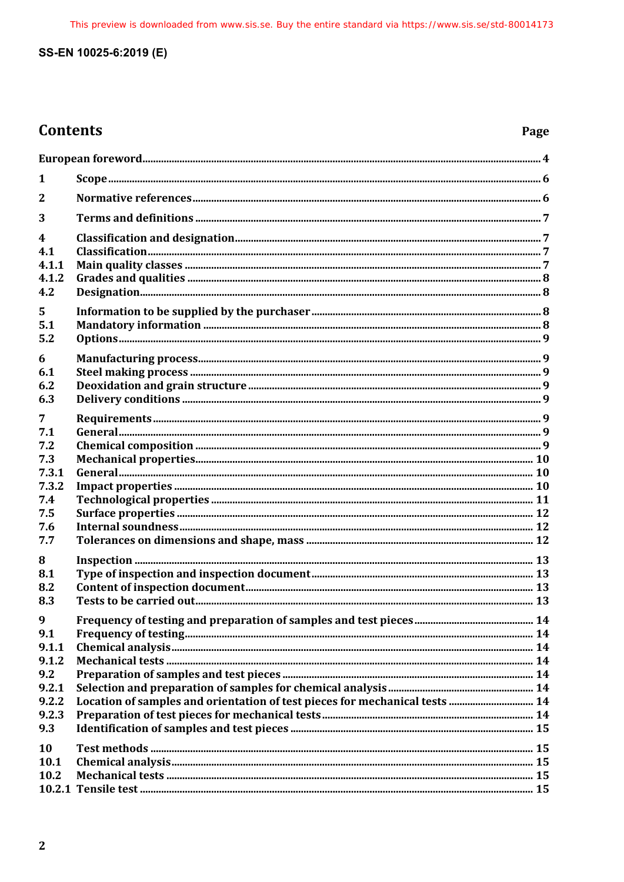# **Contents**

# Page

| 1                                 |  |
|-----------------------------------|--|
| 2                                 |  |
| 3                                 |  |
| 4<br>4.1<br>4.1.1<br>4.1.2<br>4.2 |  |
| 5<br>5.1<br>5.2                   |  |
| 6<br>6.1<br>6.2<br>6.3            |  |
| 7<br>7.1<br>7.2<br>7.3<br>7.3.1   |  |
| 7.3.2<br>7.4<br>7.5<br>7.6<br>7.7 |  |
| 8<br>8.1<br>8.2<br>8.3            |  |
| 9<br>9.1<br>9.1.1<br>9.1.2<br>9.2 |  |
| 9.2.1<br>9.2.2<br>9.2.3<br>9.3    |  |
| 10<br>10.1<br>10.2                |  |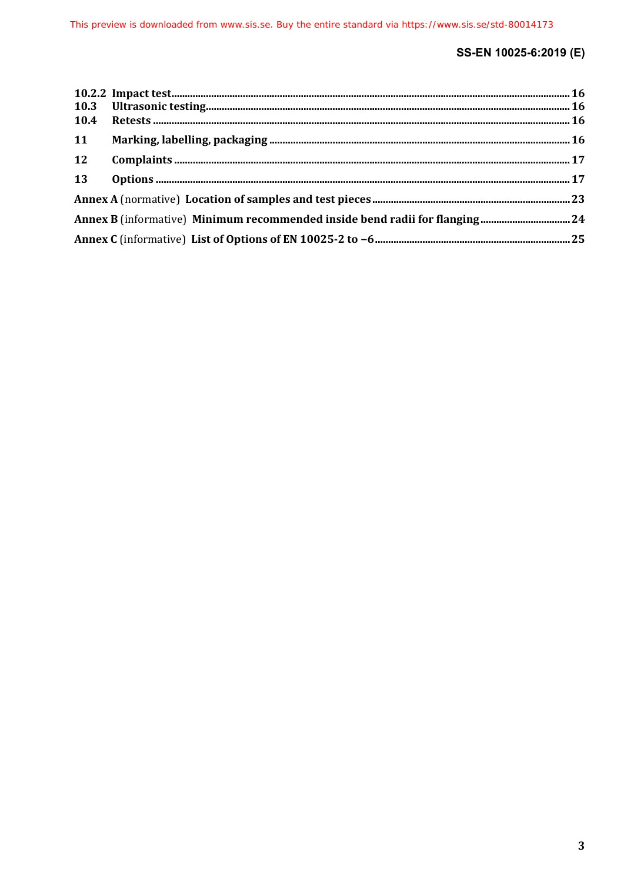| 11 |  |
|----|--|
| 12 |  |
| 13 |  |
|    |  |
|    |  |
|    |  |
|    |  |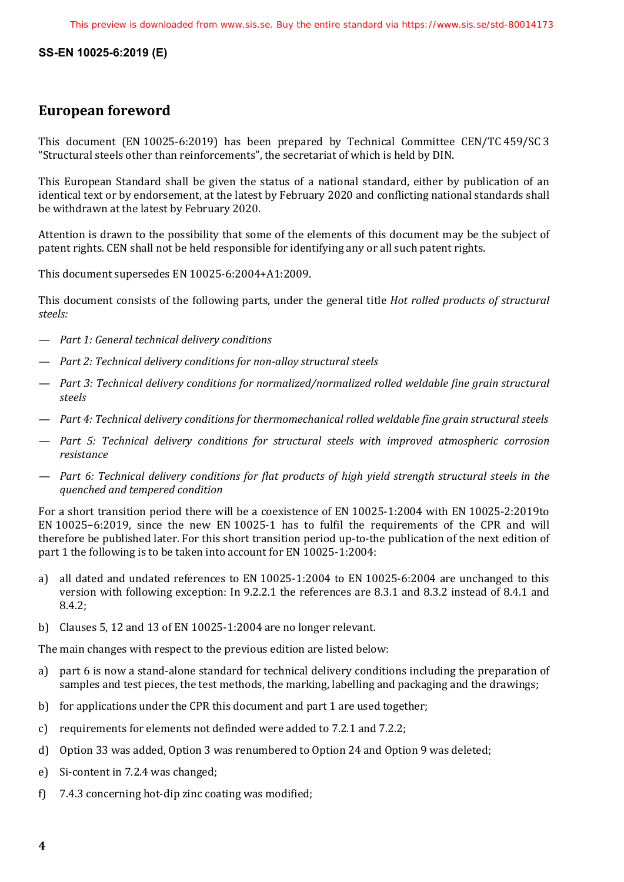# <span id="page-7-0"></span>**European foreword**

This document (EN 10025-6:2019) has been prepared by Technical Committee CEN/TC 459/SC 3 "Structural steels other than reinforcements", the secretariat of which is held by DIN.

This European Standard shall be given the status of a national standard, either by publication of an identical text or by endorsement, at the latest by February 2020 and conflicting national standards shall be withdrawn at the latest by February 2020.

Attention is drawn to the possibility that some of the elements of this document may be the subject of patent rights. CEN shall not be held responsible for identifying any or all such patent rights.

This document supersedes EN 10025-6:2004+A1:2009.

This document consists of the following parts, under the general title *Hot rolled products of structural steels:*

- *Part 1: General technical delivery conditions*
- *Part 2: Technical delivery conditions for non-alloy structural steels*
- *Part 3: Technical delivery conditions for normalized/normalized rolled weldable fine grain structural steels*
- *Part 4: Technical delivery conditions for thermomechanical rolled weldable fine grain structural steels*
- *Part 5: Technical delivery conditions for structural steels with improved atmospheric corrosion resistance*
- *Part 6: Technical delivery conditions for flat products of high yield strength structural steels in the quenched and tempered condition*

For a short transition period there will be a coexistence of EN 10025-1:2004 with EN 10025-2:2019to EN 10025−6:2019, since the new EN 10025-1 has to fulfil the requirements of the CPR and will therefore be published later. For this short transition period up-to-the publication of the next edition of part 1 the following is to be taken into account for EN 10025-1:2004:

- a) all dated and undated references to EN 10025-1:2004 to EN 10025-6:2004 are unchanged to this version with following exception: In 9.2.2.1 the references are 8.3.1 and 8.3.2 instead of 8.4.1 and 8.4.2;
- b) Clauses 5, 12 and 13 of EN 10025-1:2004 are no longer relevant.

The main changes with respect to the previous edition are listed below:

- a) part 6 is now a stand-alone standard for technical delivery conditions including the preparation of samples and test pieces, the test methods, the marking, labelling and packaging and the drawings;
- b) for applications under the CPR this document and part 1 are used together;
- c) requirements for elements not definded were added to 7.2.1 and 7.2.2;
- d) Option 33 was added, Option 3 was renumbered to Option 24 and Option 9 was deleted;
- e) Si-content in 7.2.4 was changed;
- f) 7.4.3 concerning hot-dip zinc coating was modified;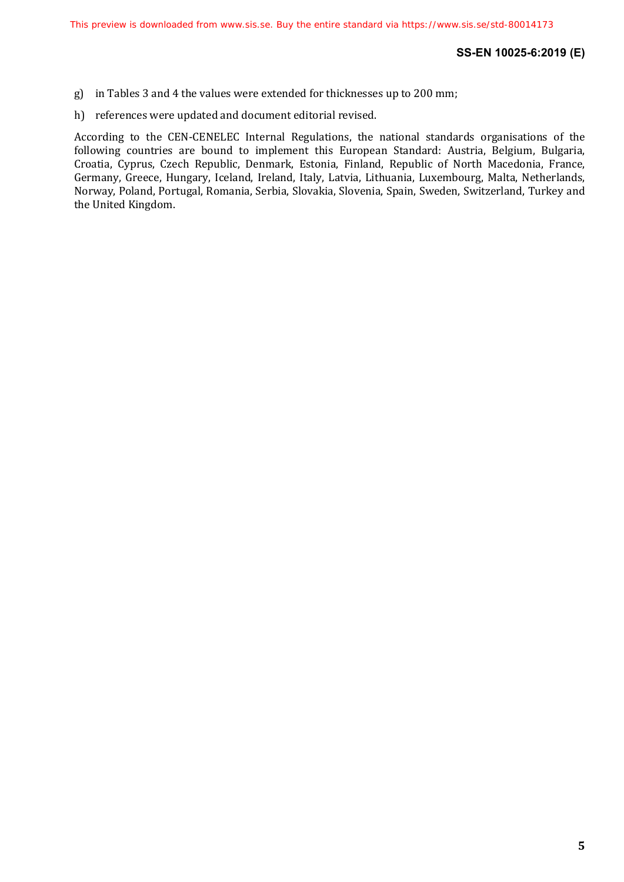- g) in Tables 3 and 4 the values were extended for thicknesses up to 200 mm;
- h) references were updated and document editorial revised.

According to the CEN-CENELEC Internal Regulations, the national standards organisations of the following countries are bound to implement this European Standard: Austria, Belgium, Bulgaria, Croatia, Cyprus, Czech Republic, Denmark, Estonia, Finland, Republic of North Macedonia, France, Germany, Greece, Hungary, Iceland, Ireland, Italy, Latvia, Lithuania, Luxembourg, Malta, Netherlands, Norway, Poland, Portugal, Romania, Serbia, Slovakia, Slovenia, Spain, Sweden, Switzerland, Turkey and the United Kingdom.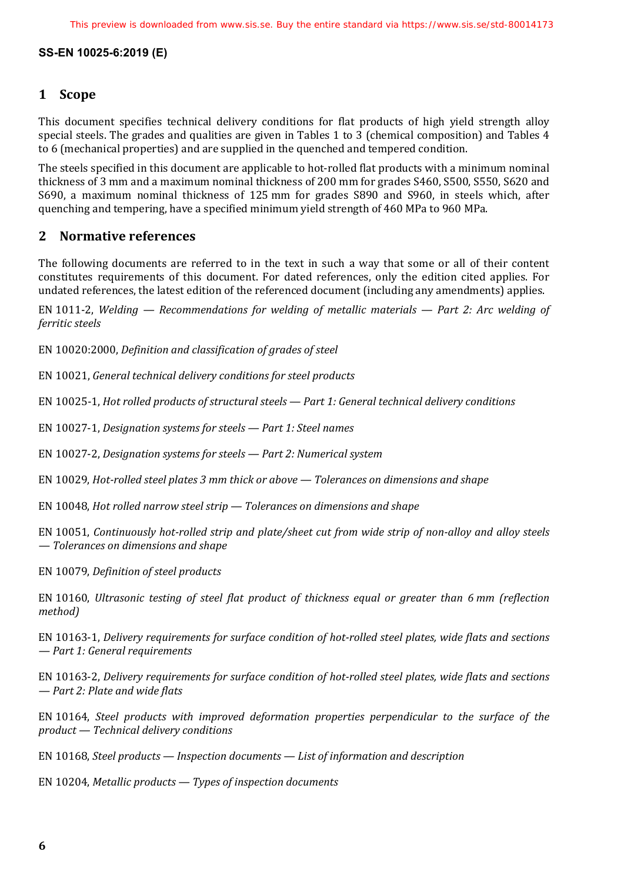# <span id="page-9-0"></span>**1 Scope**

This document specifies technical delivery conditions for flat products of high yield strength alloy special steels. The grades and qualities are given in Tables 1 to 3 (chemical composition) and Tables 4 to 6 (mechanical properties) and are supplied in the quenched and tempered condition.

The steels specified in this document are applicable to hot-rolled flat products with a minimum nominal thickness of 3 mm and a maximum nominal thickness of 200 mm for grades S460, S500, S550, S620 and S690, a maximum nominal thickness of 125 mm for grades S890 and S960, in steels which, after quenching and tempering, have a specified minimum yield strength of 460 MPa to 960 MPa.

# <span id="page-9-1"></span>**2 Normative references**

The following documents are referred to in the text in such a way that some or all of their content constitutes requirements of this document. For dated references, only the edition cited applies. For undated references, the latest edition of the referenced document (including any amendments) applies.

EN 1011-2, *Welding — Recommendations for welding of metallic materials — Part 2: Arc welding of ferritic steels*

EN 10020:2000, *Definition and classification of grades of steel*

EN 10021, *General technical delivery conditions for steel products*

EN 10025-1, *Hot rolled products of structural steels — Part 1: General technical delivery conditions*

EN 10027-1, *Designation systems for steels — Part 1: Steel names*

EN 10027-2, *Designation systems for steels — Part 2: Numerical system*

EN 10029, *Hot-rolled steel plates 3 mm thick or above — Tolerances on dimensions and shape*

EN 10048, *Hot rolled narrow steel strip — Tolerances on dimensions and shape*

EN 10051, *Continuously hot-rolled strip and plate/sheet cut from wide strip of non-alloy and alloy steels — Tolerances on dimensions and shape*

EN 10079, *Definition of steel products*

EN 10160, *Ultrasonic testing of steel flat product of thickness equal or greater than 6 mm (reflection method)*

EN 10163-1, *Delivery requirements for surface condition of hot-rolled steel plates, wide flats and sections — Part 1: General requirements*

EN 10163-2, *Delivery requirements for surface condition of hot-rolled steel plates, wide flats and sections — Part 2: Plate and wide flats*

EN 10164, *Steel products with improved deformation properties perpendicular to the surface of the product — Technical delivery conditions*

EN 10168, *Steel products — Inspection documents — List of information and description*

EN 10204, *Metallic products — Types of inspection documents*